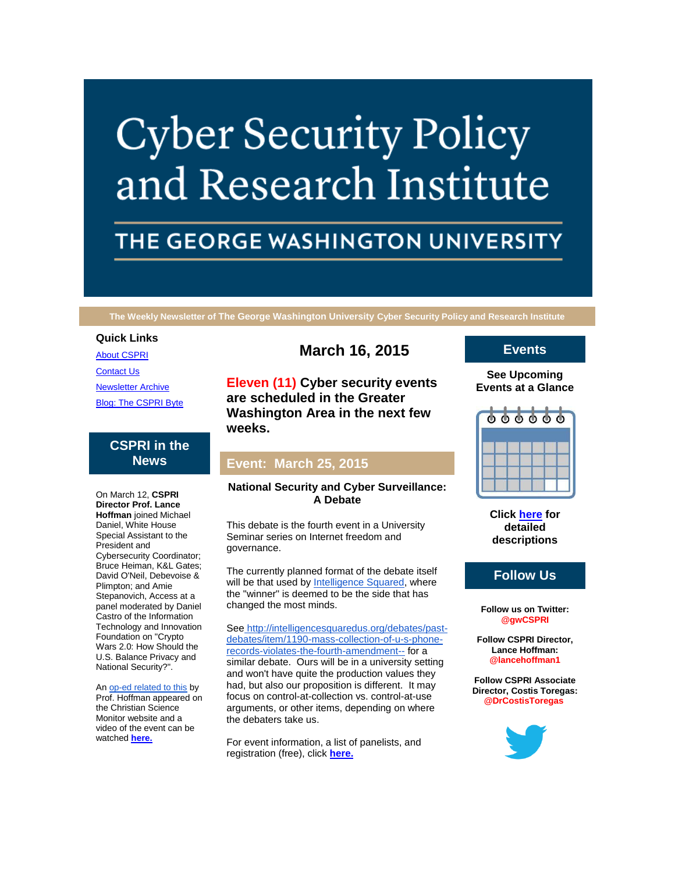# **Cyber Security Policy** and Research Institute

# THE GEORGE WASHINGTON UNIVERSITY

**The Weekly Newsletter of The George Washington University Cyber Security Policy and Research Institute**

### **Quick Links**

[About CSPRI](http://r20.rs6.net/tn.jsp?e=001-Vel58qaxYKXpXIIc7_QvtOMrxhIlRZCTtUbyWEAm_EdLOP3VXooceKto1PGX0Y_9WPbdMi6hlFEBDfwcs3Nk0oHObSKUmGO9ZdJrJqINMNsqi8L5OY69XmMN-1sYp_l)

**[Contact Us](http://r20.rs6.net/tn.jsp?e=001-Vel58qaxYKXpXIIc7_QvtOMrxhIlRZCTtUbyWEAm_EdLOP3VXooceKto1PGX0Y_9WPbdMi6hlFEBDfwcs3Nk0oHObSKUmGO9ZdJrJqINMN-H8OXYL_CqqSX9P8Jg7dDy_LEcGeU0Bc=)** 

[Newsletter Archive](http://r20.rs6.net/tn.jsp?e=001-Vel58qaxYKXpXIIc7_QvtOMrxhIlRZCTtUbyWEAm_EdLOP3VXooceKto1PGX0Y_9WPbdMi6hlFEBDfwcs3Nk0oHObSKUmGO9ZdJrJqINMMv7WFarCrbZ80erGaSMV2zcixrJERU-fc=) [Blog: The CSPRI Byte](http://r20.rs6.net/tn.jsp?e=001-Vel58qaxYKXpXIIc7_QvtOMrxhIlRZCTtUbyWEAm_EdLOP3VXooceKto1PGX0Y_9WPbdMi6hlFEBDfwcs3Nk0oHObSKUmGO9ZdJrJqINMNMtFzvXrHvJ6-X5FrXMn1G)

# **CSPRI in the News**

On March 12, **CSPRI Director Prof. Lance Hoffman** joined Michael Daniel, White House Special Assistant to the President and Cybersecurity Coordinator; Bruce Heiman, K&L Gates; David O'Neil, Debevoise & Plimpton; and Amie Stepanovich, Access at a panel moderated by Daniel Castro of the Information Technology and Innovation Foundation on "Crypto Wars 2.0: How Should the U.S. Balance Privacy and National Security?".

An [op-ed related to this](http://r20.rs6.net/tn.jsp?e=001-Vel58qaxYKXpXIIc7_QvtOMrxhIlRZCTtUbyWEAm_EdLOP3VXooceKto1PGX0Y_9WPbdMi6hlFEBDfwcs3Nk1X9NDp1HF1DBLpmaH3hMAdU2cgWn7gNP63zKxthEMNJUoU8b4hckpf74UrmamovUigWQHnuUsI7rDkNRD6FkEM2nSOW8Fg9SQueFE3vque4cM_EhAt2WvRcQ0eZ6aUl5F47AD5QlR9hpJ3A8RQ2xqs=) by Prof. Hoffman appeared on the Christian Science Monitor website and a video of the event can be watched **[here.](http://r20.rs6.net/tn.jsp?e=001-Vel58qaxYKXpXIIc7_QvtOMrxhIlRZCTtUbyWEAm_EdLOP3VXooceKto1PGX0Y_9WPbdMi6hlHQrosWT0RPYju3mWo_GXiBkRgTPz0v3Y1cYXSkiLCzQW9s8Hdk34KfaRrkGu7_L4IH5sg5F2J2It-04IS2VEm6CAXyCSnBmyr4xTbCpdsRBGCgDhZw0vowP6YxwfrtWBN4rqTk7R5snw==)**

# **March 16, 2015**

**Eleven (11) Cyber security events are scheduled in the Greater Washington Area in the next few weeks.**

# **Event: March 25, 2015**

### **National Security and Cyber Surveillance: A Debate**

This debate is the fourth event in a University Seminar series on Internet freedom and governance.

The currently planned format of the debate itself will be that used by **Intelligence Squared**, where the "winner" is deemed to be the side that has changed the most minds.

See [http://intelligencesquaredus.org/debates/past](http://r20.rs6.net/tn.jsp?e=001-Vel58qaxYKXpXIIc7_QvtOMrxhIlRZCTtUbyWEAm_EdLOP3VXooceKto1PGX0Y_9WPbdMi6hlFy15ULIITlKij4Vy7vOiaPmuBumgIKr8vvKxQZ4BDwacSMJXDLIc0vJSo6MfrLlli3sRnjKzzc0dnjIZoQHFkv2BQsO7iDt_YK1oqzM3MHD-UJsIc0uKHnqPzzSuks8YkLa4OQCjhQbFP_YQ4zQhwU3sVUEeExP_WM36Wvq9s064Lv2rmjdoxP)[debates/item/1190-mass-collection-of-u-s-phone](http://r20.rs6.net/tn.jsp?e=001-Vel58qaxYKXpXIIc7_QvtOMrxhIlRZCTtUbyWEAm_EdLOP3VXooceKto1PGX0Y_9WPbdMi6hlFy15ULIITlKij4Vy7vOiaPmuBumgIKr8vvKxQZ4BDwacSMJXDLIc0vJSo6MfrLlli3sRnjKzzc0dnjIZoQHFkv2BQsO7iDt_YK1oqzM3MHD-UJsIc0uKHnqPzzSuks8YkLa4OQCjhQbFP_YQ4zQhwU3sVUEeExP_WM36Wvq9s064Lv2rmjdoxP)[records-violates-the-fourth-amendment--](http://r20.rs6.net/tn.jsp?e=001-Vel58qaxYKXpXIIc7_QvtOMrxhIlRZCTtUbyWEAm_EdLOP3VXooceKto1PGX0Y_9WPbdMi6hlFy15ULIITlKij4Vy7vOiaPmuBumgIKr8vvKxQZ4BDwacSMJXDLIc0vJSo6MfrLlli3sRnjKzzc0dnjIZoQHFkv2BQsO7iDt_YK1oqzM3MHD-UJsIc0uKHnqPzzSuks8YkLa4OQCjhQbFP_YQ4zQhwU3sVUEeExP_WM36Wvq9s064Lv2rmjdoxP) for a similar debate. Ours will be in a university setting and won't have quite the production values they had, but also our proposition is different. It may focus on control-at-collection vs. control-at-use arguments, or other items, depending on where the debaters take us.

For event information, a list of panelists, and registration (free), click **[here.](http://r20.rs6.net/tn.jsp?e=001-Vel58qaxYKXpXIIc7_QvtOMrxhIlRZCTtUbyWEAm_EdLOP3VXooceKto1PGX0Y_9WPbdMi6hlFp3FJFo6PLkexauxaFtLGXF8Bugu6ErutYw8OsepSpX0su6lAMOa2_8gHNZrW4Wlh6pvklObSeKHMRM8fDJOCKK08Y9sJXuBvAYBd8z-gEeN6fRO5745MGBsThYOp_UxPxvr27zzVfaxqUNwlVeALGJRBe8bm-9WjxTlzhBoPGNvTxL4SUjayiHswscPWIXgg=)**

# **Events**

**See Upcoming Events at a Glance**



**Click [here](http://r20.rs6.net/tn.jsp?e=001-Vel58qaxYKXpXIIc7_QvtOMrxhIlRZCTtUbyWEAm_EdLOP3VXooceKto1PGX0Y_9WPbdMi6hlFEBDfwcs3Nk0oHObSKUmGO9ZdJrJqINMP9AtT6oOfBWgj-Z0WlBpDwywuXsks_9Qogvb0EmXpixQ==) for detailed descriptions**

# **Follow Us**

**Follow us on Twitter: @gwCSPRI**

**Follow CSPRI Director, Lance Hoffman: @lancehoffman1**

**Follow CSPRI Associate Director, Costis Toregas: @DrCostisToregas**

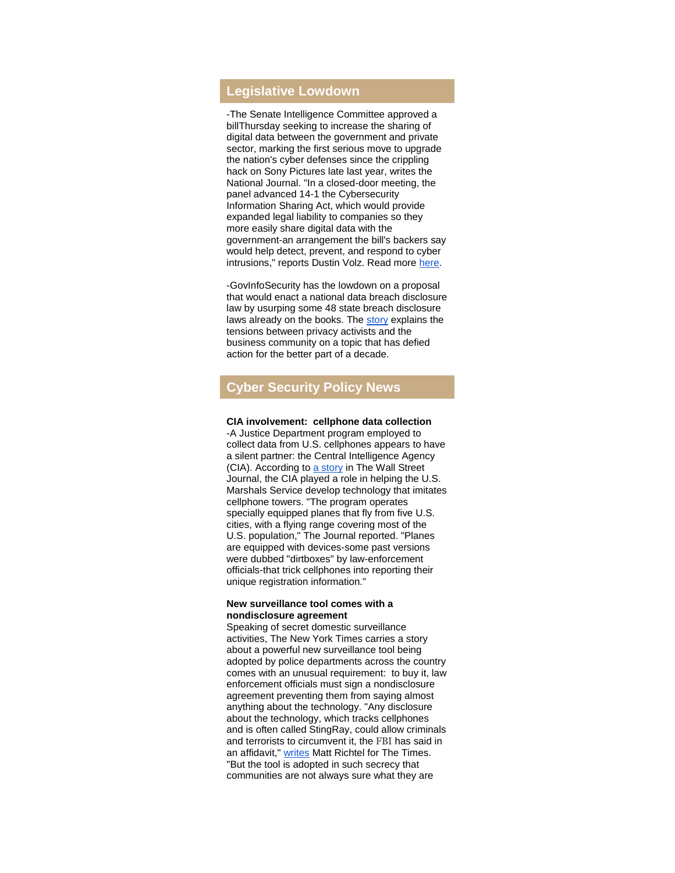# **Legislative Lowdown**

-The Senate Intelligence Committee approved a billThursday seeking to increase the sharing of digital data between the government and private sector, marking the first serious move to upgrade the nation's cyber defenses since the crippling hack on Sony Pictures late last year, writes the National Journal. "In a closed-door meeting, the panel advanced 14-1 the Cybersecurity Information Sharing Act, which would provide expanded legal liability to companies so they more easily share digital data with the government-an arrangement the bill's backers say would help detect, prevent, and respond to cyber intrusions," reports Dustin Volz. Read more [here.](http://r20.rs6.net/tn.jsp?e=001-Vel58qaxYKXpXIIc7_QvtOMrxhIlRZCTtUbyWEAm_EdLOP3VXooceKto1PGX0Y_9WPbdMi6hlFARKiMBycYIRx7wL3_EZ_sNFvZJBNLcJEcsisQcp0OuZB-5yXOa_z1pEORo_scy0TkpYtApUzgPnRsDrnfZ3OnDNC4mANH3hl50_z2FhImodAjqhWhLnDkzD5sxXcZykvBeHCy1zD10FuVqLl9Thla)

-GovInfoSecurity has the lowdown on a proposal that would enact a national data breach disclosure law by usurping some 48 state breach disclosure laws already on the books. The [story](http://r20.rs6.net/tn.jsp?e=001-Vel58qaxYKXpXIIc7_QvtOMrxhIlRZCTtUbyWEAm_EdLOP3VXooceKto1PGX0Y_9WPbdMi6hlF1gazKkfLHdEYDjoyfOf3D2qfUmRoQIIFIbHNQFI-kLXO5h11JRjLoULwaZmUyVSgLhc6v2lCctz35vpXqf_KuAbD7OCLiV5ZAv3kBtU6A1tT_2NSbMLsI) explains the tensions between privacy activists and the business community on a topic that has defied action for the better part of a decade.

# **Cyber Security Policy News**

#### **CIA involvement: cellphone data collection**

-A Justice Department program employed to collect data from U.S. cellphones appears to have a silent partner: the Central Intelligence Agency (CIA). According to [a story](http://r20.rs6.net/tn.jsp?e=001-Vel58qaxYKXpXIIc7_QvtOMrxhIlRZCTtUbyWEAm_EdLOP3VXooceKto1PGX0Y_9WPbdMi6hlHOD7aQrZxg_Ys9_fHyr5vjbzqJBSy4Qj_A6O7daxK9AECgRECmQ1RBpWb5Gr55BcMilygml1LJJnX72wC5Nfh5hx5IvGJGuOGDHxseTaNID--Ujj_fagE2iUyCXrG9pAkR-kLxqZDYg8nbTQpEFqqg1O6Nah6qu1tsGwtyO1tAZVqmP1yC35_n) in The Wall Street Journal, the CIA played a role in helping the U.S. Marshals Service develop technology that imitates cellphone towers. "The program operates specially equipped planes that fly from five U.S. cities, with a flying range covering most of the U.S. population," The Journal reported. "Planes are equipped with devices-some past versions were dubbed "dirtboxes" by law-enforcement officials-that trick cellphones into reporting their unique registration information."

#### **New surveillance tool comes with a nondisclosure agreement**

Speaking of secret domestic surveillance activities, The New York Times carries a story about a powerful new surveillance tool being adopted by police departments across the country comes with an unusual requirement: to buy it, law enforcement officials must sign a nondisclosure agreement preventing them from saying almost anything about the technology. "Any disclosure about the technology, which tracks cellphones and is often called StingRay, could allow criminals and terrorists to circumvent it, the FBI has said in an affidavit," [writes](http://r20.rs6.net/tn.jsp?e=001-Vel58qaxYKXpXIIc7_QvtOMrxhIlRZCTtUbyWEAm_EdLOP3VXooceKto1PGX0Y_9WPbdMi6hlEShgDOcngHfMIPwG-7O_OECwf-ynFyaHIpwPyxCtmTvBuwHxokhdk5QNFY6C2GOK2NAFktA-hAUxc0y5ZvxyCqQfaRVC2BTKfJ6YXcd2wlkqO1pTP7zBAVZbwbcHUdd-7yz2ZEKScv6y8yB1p6DB_-iz2P_Dwb4T_lms5392FgyQ==) Matt Richtel for The Times. "But the tool is adopted in such secrecy that communities are not always sure what they are